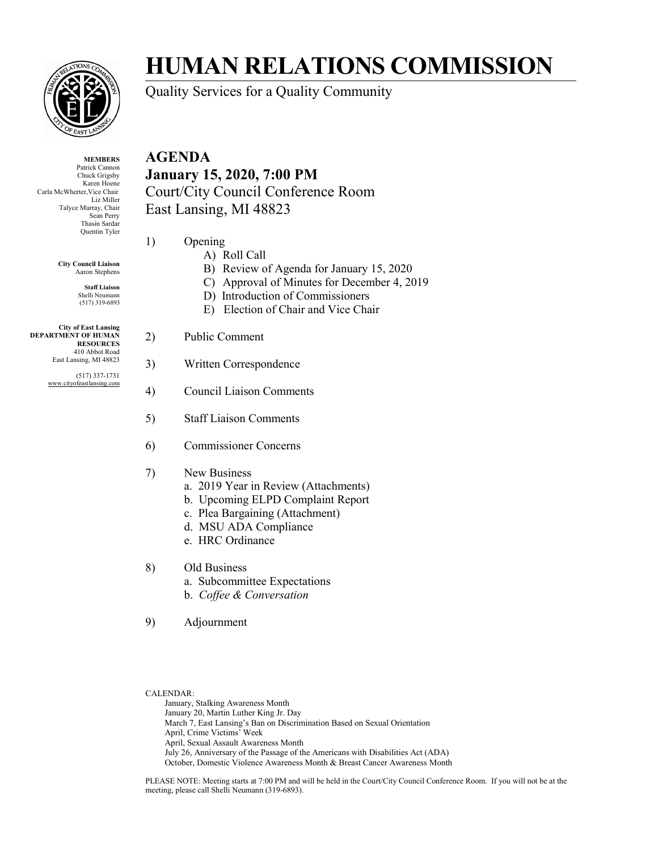

**MEMBERS** Patrick Cannon Chuck Grigsby Karen Hoene Carla McWherter,Vice Chair Liz Miller Talyce Murray, Chair Sean Perry Thasin Sardar Quentin Tyler

> **City Council Liaison** Aaron Stephens

> > **Staff Liaison** Shelli Neumann (517) 319-6893

**City of East Lansing DEPARTMENT OF HUMAN RESOURCES** 410 Abbot Road East Lansing, MI 48823

> (517) 337-1731 www.cityofeastlansing.com

## **HUMAN RELATIONS COMMISSION**

Quality Services for a Quality Community

### **AGENDA January 15, 2020, 7:00 PM** Court/City Council Conference Room East Lansing, MI 48823

- 1) Opening
	- A) Roll Call
		- B) Review of Agenda for January 15, 2020
	- C) Approval of Minutes for December 4, 2019
	- D) Introduction of Commissioners
	- E) Election of Chair and Vice Chair
- 2) Public Comment
- 3) Written Correspondence
- 4) Council Liaison Comments
- 5) Staff Liaison Comments
- 6) Commissioner Concerns
- 7) New Business
	- a. 2019 Year in Review (Attachments)
	- b. Upcoming ELPD Complaint Report
	- c. Plea Bargaining (Attachment)
	- d. MSU ADA Compliance
	- e. HRC Ordinance
- 8) Old Business
	- a. Subcommittee Expectations
	- b. *Coffee & Conversation*
- 9) Adjournment
- CALENDAR:

January, Stalking Awareness Month January 20, Martin Luther King Jr. Day March 7, East Lansing's Ban on Discrimination Based on Sexual Orientation April, Crime Victims' Week April, Sexual Assault Awareness Month July 26, Anniversary of the Passage of the Americans with Disabilities Act (ADA) October, Domestic Violence Awareness Month & Breast Cancer Awareness Month

PLEASE NOTE: Meeting starts at 7:00 PM and will be held in the Court/City Council Conference Room. If you will not be at the meeting, please call Shelli Neumann (319-6893).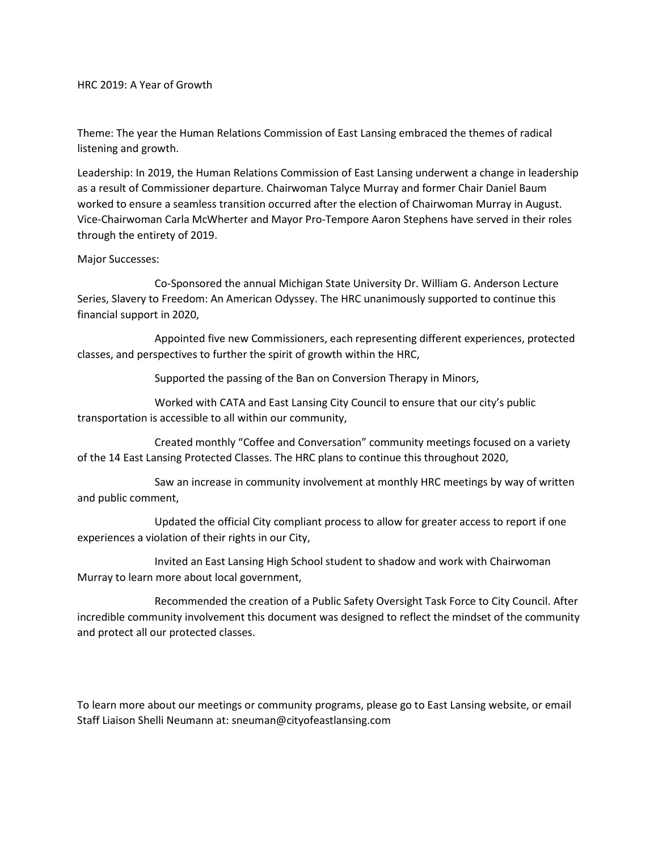HRC 2019: A Year of Growth

Theme: The year the Human Relations Commission of East Lansing embraced the themes of radical listening and growth.

Leadership: In 2019, the Human Relations Commission of East Lansing underwent a change in leadership as a result of Commissioner departure. Chairwoman Talyce Murray and former Chair Daniel Baum worked to ensure a seamless transition occurred after the election of Chairwoman Murray in August. Vice-Chairwoman Carla McWherter and Mayor Pro-Tempore Aaron Stephens have served in their roles through the entirety of 2019.

#### Major Successes:

Co-Sponsored the annual Michigan State University Dr. William G. Anderson Lecture Series, Slavery to Freedom: An American Odyssey. The HRC unanimously supported to continue this financial support in 2020,

Appointed five new Commissioners, each representing different experiences, protected classes, and perspectives to further the spirit of growth within the HRC,

Supported the passing of the Ban on Conversion Therapy in Minors,

Worked with CATA and East Lansing City Council to ensure that our city's public transportation is accessible to all within our community,

Created monthly "Coffee and Conversation" community meetings focused on a variety of the 14 East Lansing Protected Classes. The HRC plans to continue this throughout 2020,

Saw an increase in community involvement at monthly HRC meetings by way of written and public comment,

Updated the official City compliant process to allow for greater access to report if one experiences a violation of their rights in our City,

Invited an East Lansing High School student to shadow and work with Chairwoman Murray to learn more about local government,

Recommended the creation of a Public Safety Oversight Task Force to City Council. After incredible community involvement this document was designed to reflect the mindset of the community and protect all our protected classes.

To learn more about our meetings or community programs, please go to East Lansing website, or email Staff Liaison Shelli Neumann at: sneuman@cityofeastlansing.com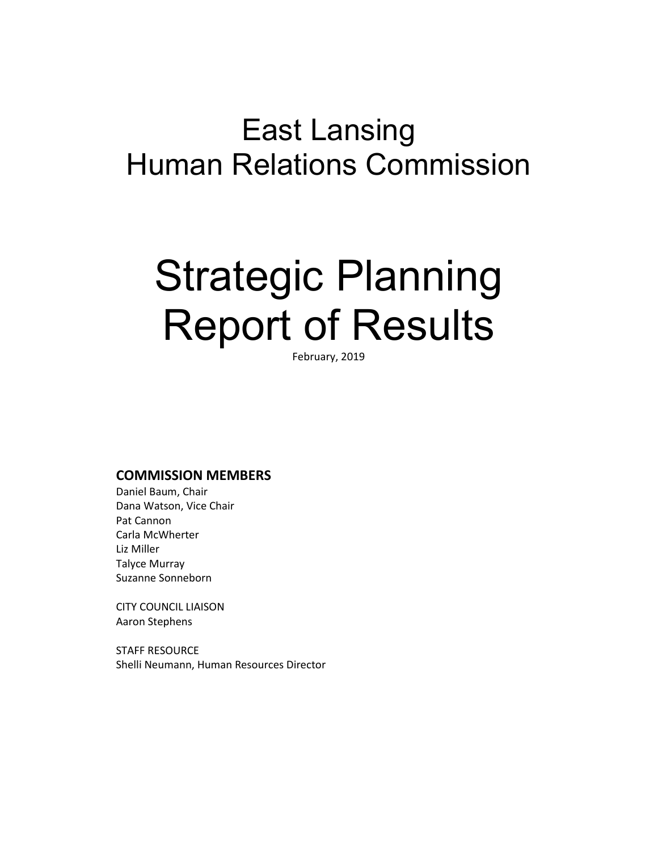# East Lansing Human Relations Commission

# Strategic Planning Report of Results

February, 2019

#### **COMMISSION MEMBERS**

Daniel Baum, Chair Dana Watson, Vice Chair Pat Cannon Carla McWherter Liz Miller Talyce Murray Suzanne Sonneborn

CITY COUNCIL LIAISON Aaron Stephens

STAFF RESOURCE Shelli Neumann, Human Resources Director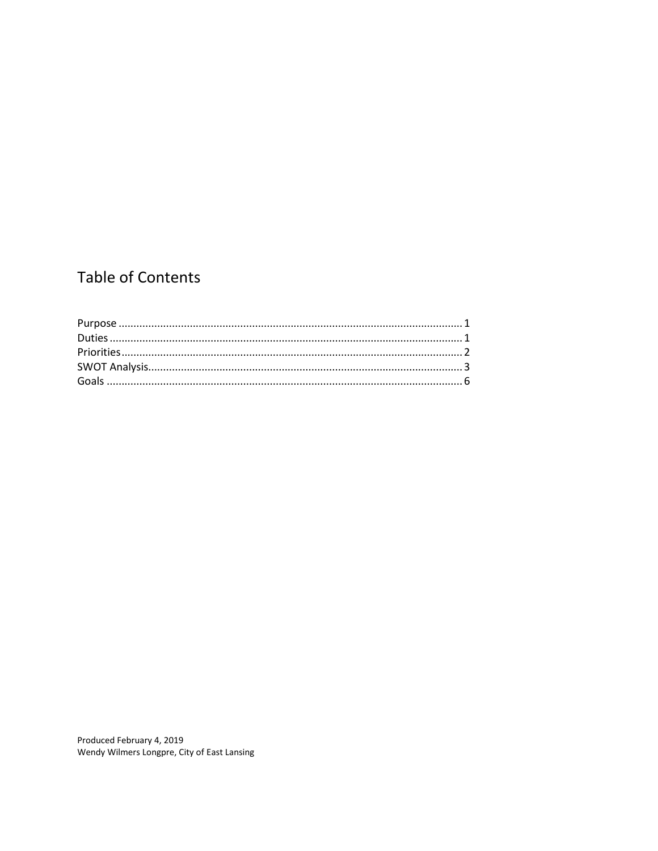### **Table of Contents**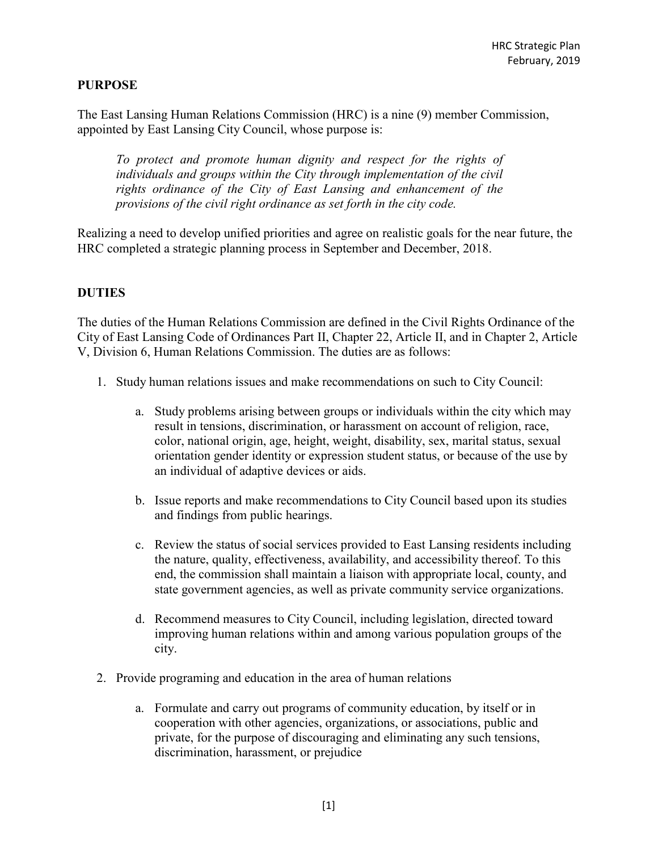#### **PURPOSE**

The East Lansing Human Relations Commission (HRC) is a nine (9) member Commission, appointed by East Lansing City Council, whose purpose is:

*To protect and promote human dignity and respect for the rights of individuals and groups within the City through implementation of the civil rights ordinance of the City of East Lansing and enhancement of the provisions of the civil right ordinance as set forth in the city code.*

Realizing a need to develop unified priorities and agree on realistic goals for the near future, the HRC completed a strategic planning process in September and December, 2018.

#### **DUTIES**

The duties of the Human Relations Commission are defined in the Civil Rights Ordinance of the City of East Lansing Code of Ordinances Part II, Chapter 22, Article II, and in Chapter 2, Article V, Division 6, Human Relations Commission. The duties are as follows:

- 1. Study human relations issues and make recommendations on such to City Council:
	- a. Study problems arising between groups or individuals within the city which may result in tensions, discrimination, or harassment on account of religion, race, color, national origin, age, height, weight, disability, sex, marital status, sexual orientation gender identity or expression student status, or because of the use by an individual of adaptive devices or aids.
	- b. Issue reports and make recommendations to City Council based upon its studies and findings from public hearings.
	- c. Review the status of social services provided to East Lansing residents including the nature, quality, effectiveness, availability, and accessibility thereof. To this end, the commission shall maintain a liaison with appropriate local, county, and state government agencies, as well as private community service organizations.
	- d. Recommend measures to City Council, including legislation, directed toward improving human relations within and among various population groups of the city.
- 2. Provide programing and education in the area of human relations
	- a. Formulate and carry out programs of community education, by itself or in cooperation with other agencies, organizations, or associations, public and private, for the purpose of discouraging and eliminating any such tensions, discrimination, harassment, or prejudice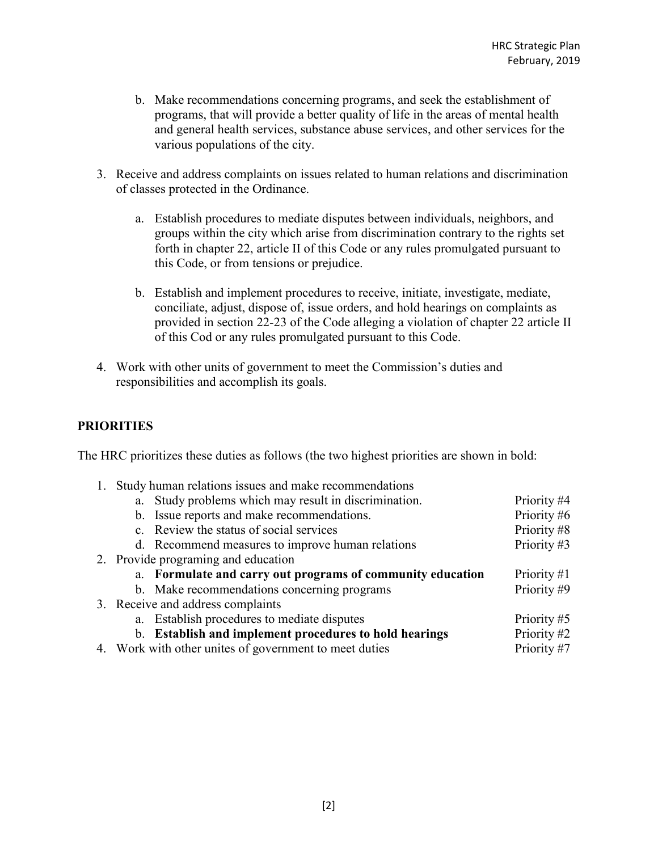- b. Make recommendations concerning programs, and seek the establishment of programs, that will provide a better quality of life in the areas of mental health and general health services, substance abuse services, and other services for the various populations of the city.
- 3. Receive and address complaints on issues related to human relations and discrimination of classes protected in the Ordinance.
	- a. Establish procedures to mediate disputes between individuals, neighbors, and groups within the city which arise from discrimination contrary to the rights set forth in chapter 22, article II of this Code or any rules promulgated pursuant to this Code, or from tensions or prejudice.
	- b. Establish and implement procedures to receive, initiate, investigate, mediate, conciliate, adjust, dispose of, issue orders, and hold hearings on complaints as provided in section 22-23 of the Code alleging a violation of chapter 22 article II of this Cod or any rules promulgated pursuant to this Code.
- 4. Work with other units of government to meet the Commission's duties and responsibilities and accomplish its goals.

#### **PRIORITIES**

The HRC prioritizes these duties as follows (the two highest priorities are shown in bold:

| 1. |                                     | Study human relations issues and make recommendations      |             |
|----|-------------------------------------|------------------------------------------------------------|-------------|
|    |                                     | a. Study problems which may result in discrimination.      | Priority #4 |
|    |                                     | b. Issue reports and make recommendations.                 | Priority #6 |
|    |                                     | c. Review the status of social services                    | Priority #8 |
|    |                                     | d. Recommend measures to improve human relations           | Priority #3 |
|    | 2. Provide programing and education |                                                            |             |
|    |                                     | a. Formulate and carry out programs of community education | Priority #1 |
|    |                                     | b. Make recommendations concerning programs                | Priority #9 |
|    |                                     | 3. Receive and address complaints                          |             |
|    |                                     | a. Establish procedures to mediate disputes                | Priority #5 |
|    |                                     | b. Establish and implement procedures to hold hearings     | Priority #2 |
|    |                                     | 4. Work with other unites of government to meet duties     | Priority #7 |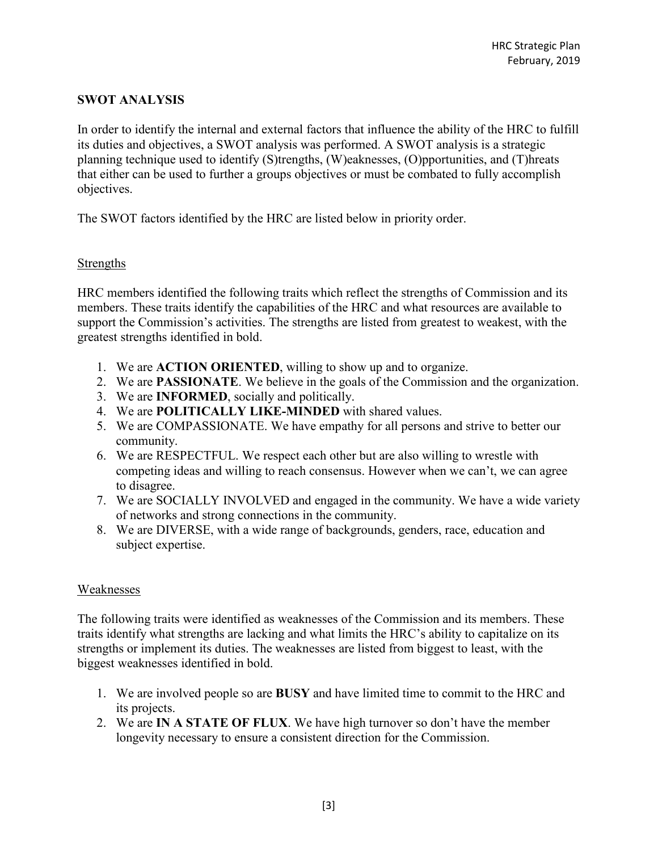#### **SWOT ANALYSIS**

In order to identify the internal and external factors that influence the ability of the HRC to fulfill its duties and objectives, a SWOT analysis was performed. A SWOT analysis is a strategic planning technique used to identify (S)trengths, (W)eaknesses, (O)pportunities, and (T)hreats that either can be used to further a groups objectives or must be combated to fully accomplish objectives.

The SWOT factors identified by the HRC are listed below in priority order.

#### Strengths

HRC members identified the following traits which reflect the strengths of Commission and its members. These traits identify the capabilities of the HRC and what resources are available to support the Commission's activities. The strengths are listed from greatest to weakest, with the greatest strengths identified in bold.

- 1. We are **ACTION ORIENTED**, willing to show up and to organize.
- 2. We are **PASSIONATE**. We believe in the goals of the Commission and the organization.
- 3. We are **INFORMED**, socially and politically.
- 4. We are **POLITICALLY LIKE-MINDED** with shared values.
- 5. We are COMPASSIONATE. We have empathy for all persons and strive to better our community.
- 6. We are RESPECTFUL. We respect each other but are also willing to wrestle with competing ideas and willing to reach consensus. However when we can't, we can agree to disagree.
- 7. We are SOCIALLY INVOLVED and engaged in the community. We have a wide variety of networks and strong connections in the community.
- 8. We are DIVERSE, with a wide range of backgrounds, genders, race, education and subject expertise.

#### Weaknesses

The following traits were identified as weaknesses of the Commission and its members. These traits identify what strengths are lacking and what limits the HRC's ability to capitalize on its strengths or implement its duties. The weaknesses are listed from biggest to least, with the biggest weaknesses identified in bold.

- 1. We are involved people so are **BUSY** and have limited time to commit to the HRC and its projects.
- 2. We are **IN A STATE OF FLUX**. We have high turnover so don't have the member longevity necessary to ensure a consistent direction for the Commission.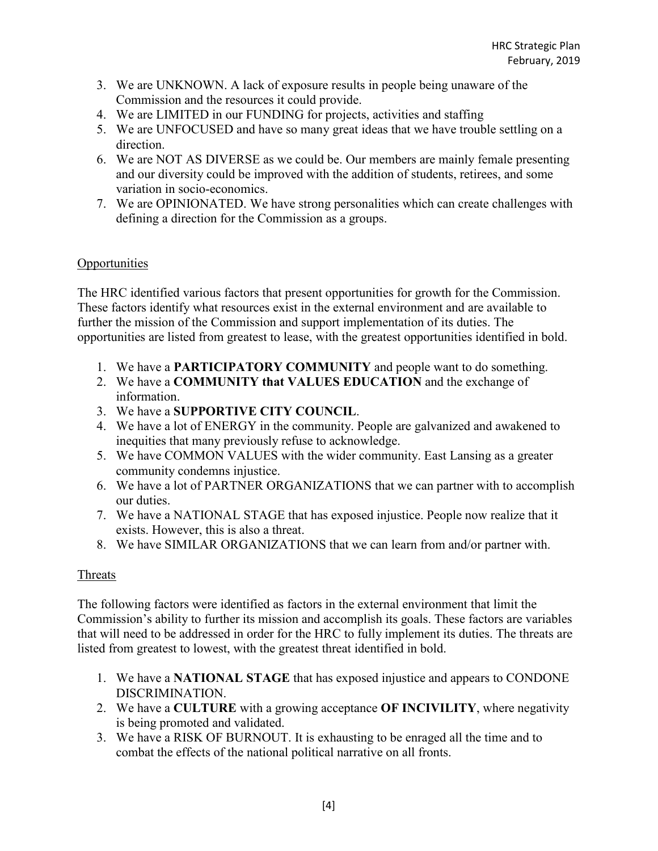- 3. We are UNKNOWN. A lack of exposure results in people being unaware of the Commission and the resources it could provide.
- 4. We are LIMITED in our FUNDING for projects, activities and staffing
- 5. We are UNFOCUSED and have so many great ideas that we have trouble settling on a direction.
- 6. We are NOT AS DIVERSE as we could be. Our members are mainly female presenting and our diversity could be improved with the addition of students, retirees, and some variation in socio-economics.
- 7. We are OPINIONATED. We have strong personalities which can create challenges with defining a direction for the Commission as a groups.

#### **Opportunities**

The HRC identified various factors that present opportunities for growth for the Commission. These factors identify what resources exist in the external environment and are available to further the mission of the Commission and support implementation of its duties. The opportunities are listed from greatest to lease, with the greatest opportunities identified in bold.

- 1. We have a **PARTICIPATORY COMMUNITY** and people want to do something.
- 2. We have a **COMMUNITY that VALUES EDUCATION** and the exchange of information.
- 3. We have a **SUPPORTIVE CITY COUNCIL**.
- 4. We have a lot of ENERGY in the community. People are galvanized and awakened to inequities that many previously refuse to acknowledge.
- 5. We have COMMON VALUES with the wider community. East Lansing as a greater community condemns injustice.
- 6. We have a lot of PARTNER ORGANIZATIONS that we can partner with to accomplish our duties.
- 7. We have a NATIONAL STAGE that has exposed injustice. People now realize that it exists. However, this is also a threat.
- 8. We have SIMILAR ORGANIZATIONS that we can learn from and/or partner with.

#### Threats

The following factors were identified as factors in the external environment that limit the Commission's ability to further its mission and accomplish its goals. These factors are variables that will need to be addressed in order for the HRC to fully implement its duties. The threats are listed from greatest to lowest, with the greatest threat identified in bold.

- 1. We have a **NATIONAL STAGE** that has exposed injustice and appears to CONDONE DISCRIMINATION.
- 2. We have a **CULTURE** with a growing acceptance **OF INCIVILITY**, where negativity is being promoted and validated.
- 3. We have a RISK OF BURNOUT. It is exhausting to be enraged all the time and to combat the effects of the national political narrative on all fronts.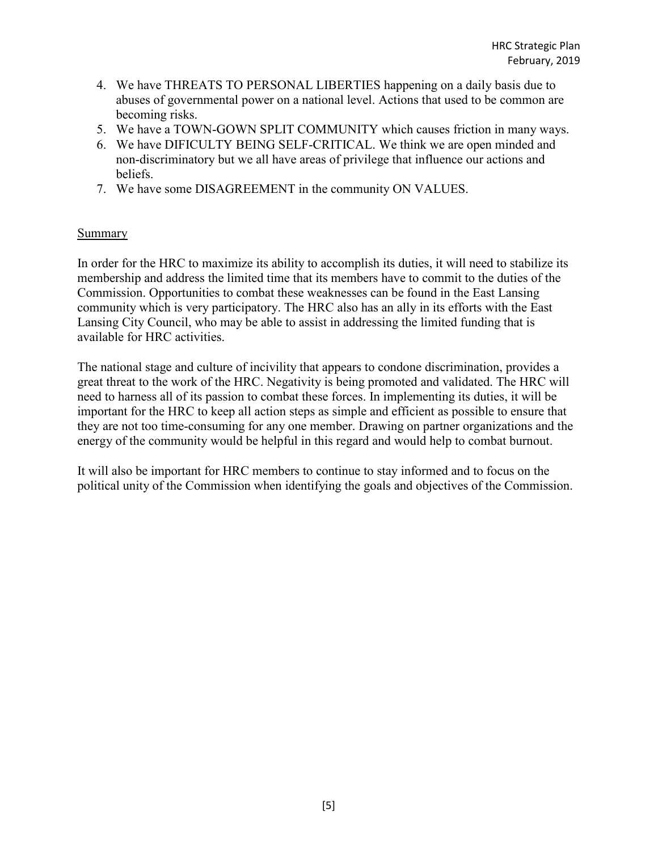- 4. We have THREATS TO PERSONAL LIBERTIES happening on a daily basis due to abuses of governmental power on a national level. Actions that used to be common are becoming risks.
- 5. We have a TOWN-GOWN SPLIT COMMUNITY which causes friction in many ways.
- 6. We have DIFICULTY BEING SELF-CRITICAL. We think we are open minded and non-discriminatory but we all have areas of privilege that influence our actions and beliefs.
- 7. We have some DISAGREEMENT in the community ON VALUES.

#### Summary

In order for the HRC to maximize its ability to accomplish its duties, it will need to stabilize its membership and address the limited time that its members have to commit to the duties of the Commission. Opportunities to combat these weaknesses can be found in the East Lansing community which is very participatory. The HRC also has an ally in its efforts with the East Lansing City Council, who may be able to assist in addressing the limited funding that is available for HRC activities.

The national stage and culture of incivility that appears to condone discrimination, provides a great threat to the work of the HRC. Negativity is being promoted and validated. The HRC will need to harness all of its passion to combat these forces. In implementing its duties, it will be important for the HRC to keep all action steps as simple and efficient as possible to ensure that they are not too time-consuming for any one member. Drawing on partner organizations and the energy of the community would be helpful in this regard and would help to combat burnout.

It will also be important for HRC members to continue to stay informed and to focus on the political unity of the Commission when identifying the goals and objectives of the Commission.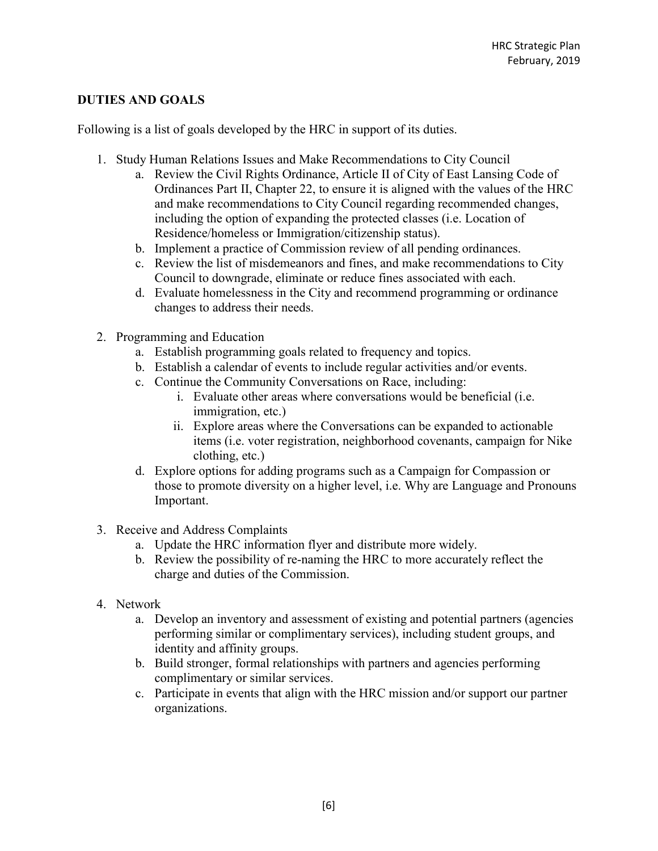#### **DUTIES AND GOALS**

Following is a list of goals developed by the HRC in support of its duties.

- 1. Study Human Relations Issues and Make Recommendations to City Council
	- a. Review the Civil Rights Ordinance, Article II of City of East Lansing Code of Ordinances Part II, Chapter 22, to ensure it is aligned with the values of the HRC and make recommendations to City Council regarding recommended changes, including the option of expanding the protected classes (i.e. Location of Residence/homeless or Immigration/citizenship status).
	- b. Implement a practice of Commission review of all pending ordinances.
	- c. Review the list of misdemeanors and fines, and make recommendations to City Council to downgrade, eliminate or reduce fines associated with each.
	- d. Evaluate homelessness in the City and recommend programming or ordinance changes to address their needs.
- 2. Programming and Education
	- a. Establish programming goals related to frequency and topics.
	- b. Establish a calendar of events to include regular activities and/or events.
	- c. Continue the Community Conversations on Race, including:
		- i. Evaluate other areas where conversations would be beneficial (i.e. immigration, etc.)
		- ii. Explore areas where the Conversations can be expanded to actionable items (i.e. voter registration, neighborhood covenants, campaign for Nike clothing, etc.)
	- d. Explore options for adding programs such as a Campaign for Compassion or those to promote diversity on a higher level, i.e. Why are Language and Pronouns Important.
- 3. Receive and Address Complaints
	- a. Update the HRC information flyer and distribute more widely.
	- b. Review the possibility of re-naming the HRC to more accurately reflect the charge and duties of the Commission.
- 4. Network
	- a. Develop an inventory and assessment of existing and potential partners (agencies performing similar or complimentary services), including student groups, and identity and affinity groups.
	- b. Build stronger, formal relationships with partners and agencies performing complimentary or similar services.
	- c. Participate in events that align with the HRC mission and/or support our partner organizations.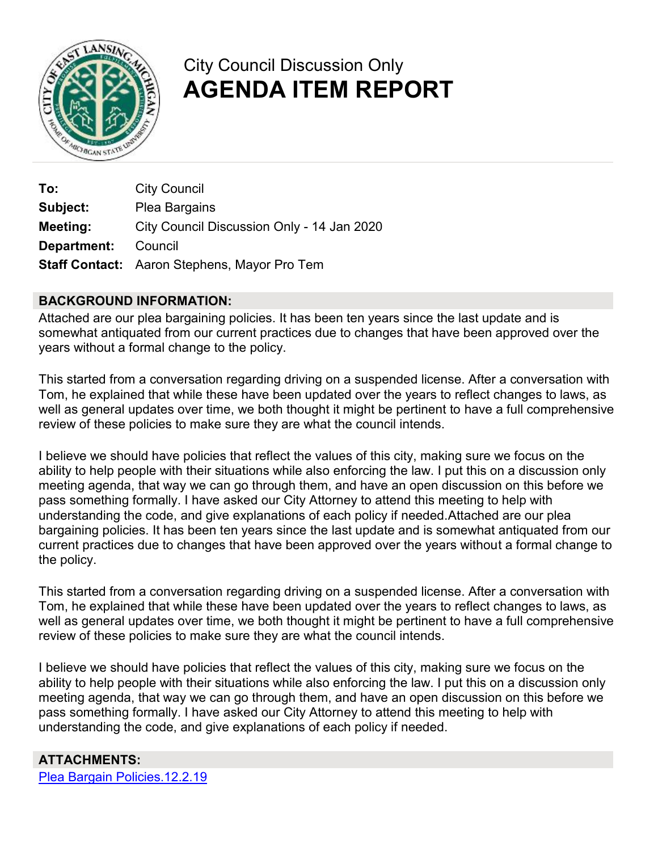

### City Council Discussion Only **AGENDA ITEM REPORT**

**To:** City Council **Subject:** Plea Bargains **Meeting:** City Council Discussion Only - 14 Jan 2020 **Department:** Council **Staff Contact:** Aaron Stephens, Mayor Pro Tem

#### **BACKGROUND INFORMATION:**

Attached are our plea bargaining policies. It has been ten years since the last update and is somewhat antiquated from our current practices due to changes that have been approved over the years without a formal change to the policy.

This started from a conversation regarding driving on a suspended license. After a conversation with Tom, he explained that while these have been updated over the years to reflect changes to laws, as well as general updates over time, we both thought it might be pertinent to have a full comprehensive review of these policies to make sure they are what the council intends.

I believe we should have policies that reflect the values of this city, making sure we focus on the ability to help people with their situations while also enforcing the law. I put this on a discussion only meeting agenda, that way we can go through them, and have an open discussion on this before we pass something formally. I have asked our City Attorney to attend this meeting to help with understanding the code, and give explanations of each policy if needed.Attached are our plea bargaining policies. It has been ten years since the last update and is somewhat antiquated from our current practices due to changes that have been approved over the years without a formal change to the policy.

This started from a conversation regarding driving on a suspended license. After a conversation with Tom, he explained that while these have been updated over the years to reflect changes to laws, as well as general updates over time, we both thought it might be pertinent to have a full comprehensive review of these policies to make sure they are what the council intends.

I believe we should have policies that reflect the values of this city, making sure we focus on the ability to help people with their situations while also enforcing the law. I put this on a discussion only meeting agenda, that way we can go through them, and have an open discussion on this before we pass something formally. I have asked our City Attorney to attend this meeting to help with understanding the code, and give explanations of each policy if needed.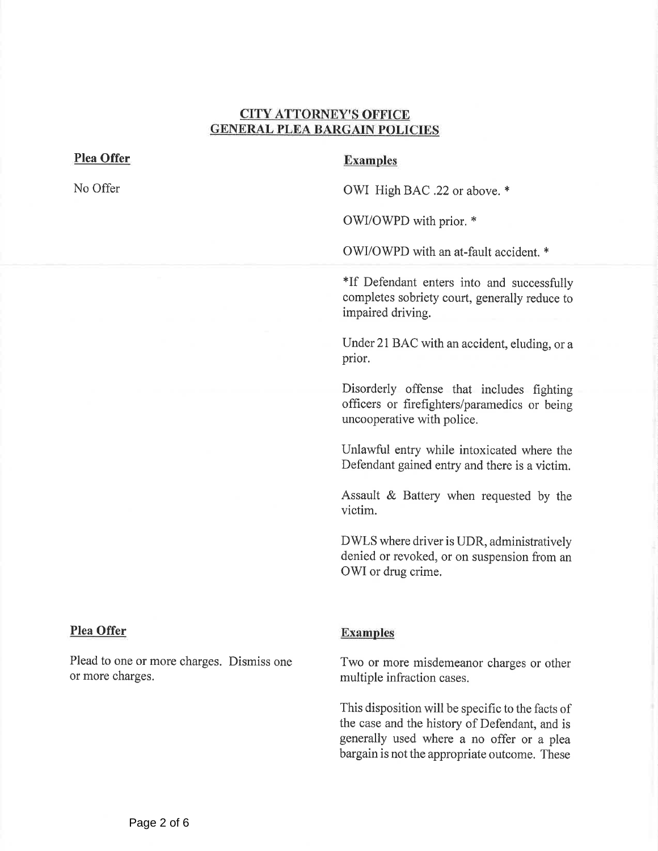#### CITY ATTORNEY'S OFFICE GENERAL PLEA BARGAIN POLICIES

#### <span id="page-11-0"></span>Plea Offer

No Offer

#### Examples

OWI High BAC .22 or above. \*

OWI/OWPD with prior. \*

OWI/OWPD with an at-fault accident.\*

\*If Defendant enters into and successfull completes sobriety court, generally reduce to impaired driving.

Under 21 BAC with an accident, eluding, or a prior.

Disorderly offense that includes fighting officers or firefighters/paramedics or being uncooperative with police.

Unlawful entry while intoxicated where the Defendant gained entry and there is a victim.

Assault & Battery when requested by the victim.

DWLS where driver is UDR, administratively denied or revoked, or on suspension from an OWI or drug crime.

#### Plea Offer

Plead to one or more charges. Dismiss one or more charges.

#### Examples

Two or more misdemeanor charges or other multiple infraction cases.

This disposition will be specific to the facts of the case and the history of Defendant, and is generally used where a no offer or a plea bargain is not the appropriate outcome. These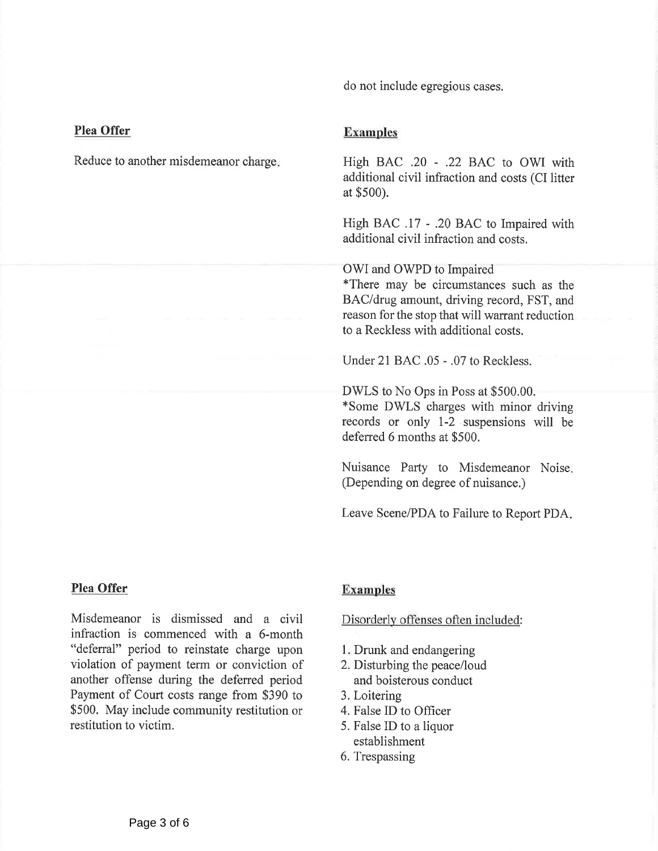do not include egregious cases.

#### Plea Offer

Reduce to another misdemeanor charge.

#### Examples

High BAC .20 - .22 BAC to OWI with additional civil infraction and costs (CI litter at \$500).

High BAC .17 - .20 BAC to Impaired with additional civil infraction and costs.

#### OWI and OWPD to Impaired

\*There may be circumstances such as the BAC/drug amount, driving record, FST, and reason for the stop that will warrant reduction to a Reckless with additional costs.

Under 21 BAC .05 - .07 to Reckless.

DWLS to No Ops in Poss at \$500.00. \*Some DWLS charges with minor driving records or only 1-2 suspensions will be deferred 6 months at \$500.

Nuisance Party to Misdemeanor Noise (Depending on degree of nuisance.)

Leave Scene/PDA to Failure to Report PDA

#### Plea Offer

Misdemeanor is dismissed and a civil infraction is commenced with a 6-month "deferral" period to reinstate charge upon violation of payment term or conviction of another offense during the deferred period Payment of Court costs range from \$390 to \$500. May include community restitution or restitution to victim.

#### **Examples**

Disorderly offenses often included

- 1. Drunk and endangering
- 2. Disturbing the peace/loud and boisterous conduct
- .Loitering
- 4. False ID to Officer
- .False ID to <sup>a</sup> liquor establishment
- 6. Trespassing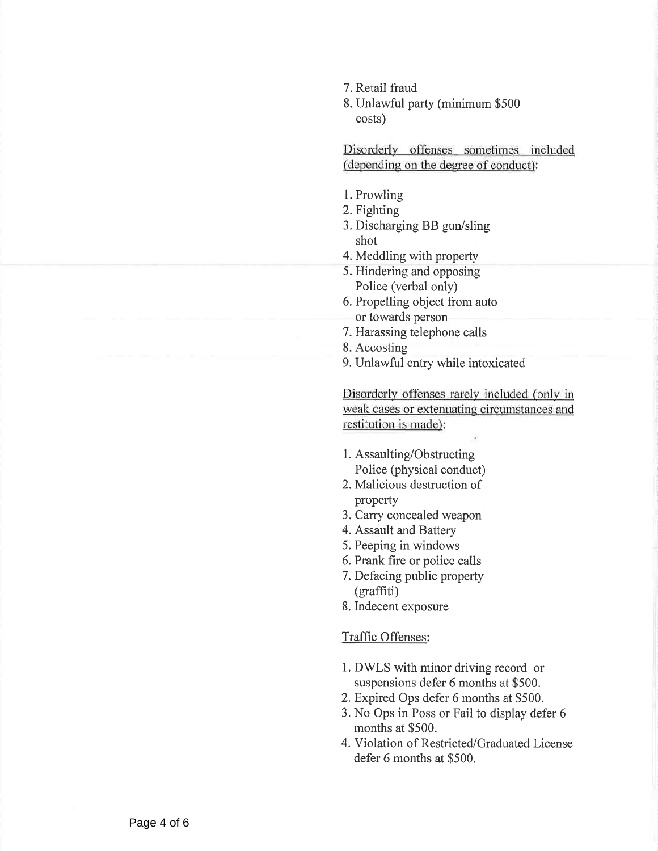- 7. Retail fraud
- .Unlawful party (minimum \$500 costs)

Disorderly offenses sometimes included (depending on the degree of conduct):

- .Prowling
- 2. Fighting
- .Discharging BB gun/sling shot
- 4. Meddling with property
- 5. Hindering and opposing Police (verbal only)
- .Propelling object from auto or towards person
- .Harassing telephone calls
- .Accosting
- .Unlawful entry while intoxicated

Disorderly offenses rarely included (only in weak cases or extenuating circumstances and restitution is made):

- .Assaulting/Obstructing Police (physical conduct)
- 2. Malicious destruction of property
- .Carry concealed weapon
- .Assault and Battery
- .Peeping in windows
- 6. Prank fire or police calls
- .Defacing public property (graffiti)
- 8. Indecent exposure

#### Traffic Offenses:

- l. DWLS with minor driving record or suspensions defer 6 months at \$500.
- 2. Expired Ops defer 6 months at \$500.
- 3. No Ops in Poss or Fail to display defer 6 months at \$500.
- 4. Violation of Restricted/Graduated License defer 6 months at \$500.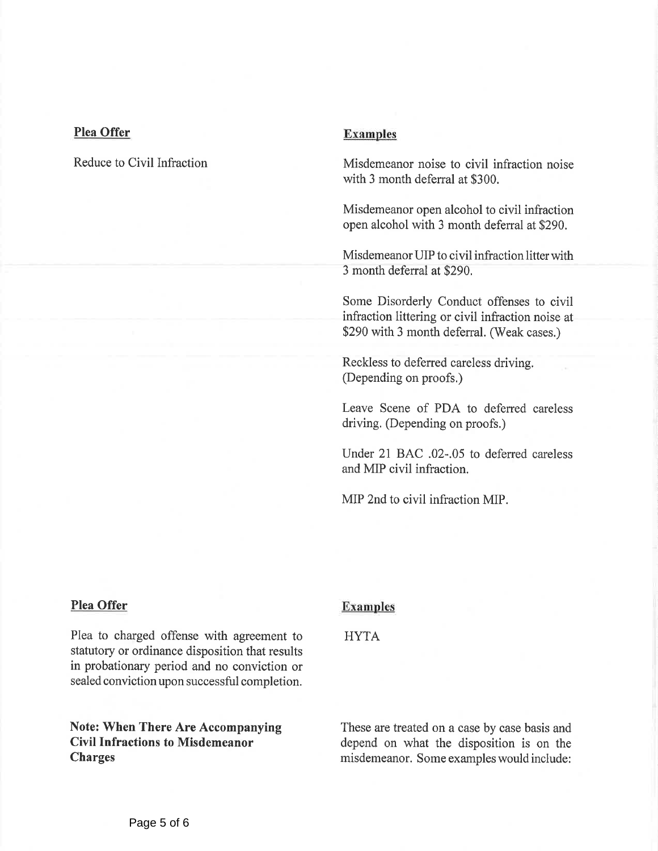#### Plea Offer

Reduce to Civil Infraction

#### Examples

Misdemeanor noise to civil infraction noise with 3 month deferral at \$300.

Misdemeanor open alcohol to civil infraction open alcohol with 3 month deferral at \$290.

Misdemeanor UIP to civil infraction litter with 3 month deferral at \$290.

Some Disorderly Conduct offenses to civil infraction littering or civil infraction noise at \$290 with 3 month deferral. (Weak cases.)

Reckless to deferred careless driving. (Depending on proofs.)

Leave Scene of PDA to deferred careles driving. (Depending on proofs.)

Under 21 BAC .02-.05 to deferred careless and MIP civil infraction.

MIP 2nd to civil infraction MIP.

#### Plea Offer

Plea to charged offense with agreement to statutory or ordinance disposition that results in probationary period and no conviction or sealed conviction upon successful completion.

Note: When There Are Accompanying Civil Infractions to Misdemeanor Charges

#### Examples

#### HYTA

These are treated on a case by case basis and depend on what the disposition is on the misdemeanor. Some exampleswould include: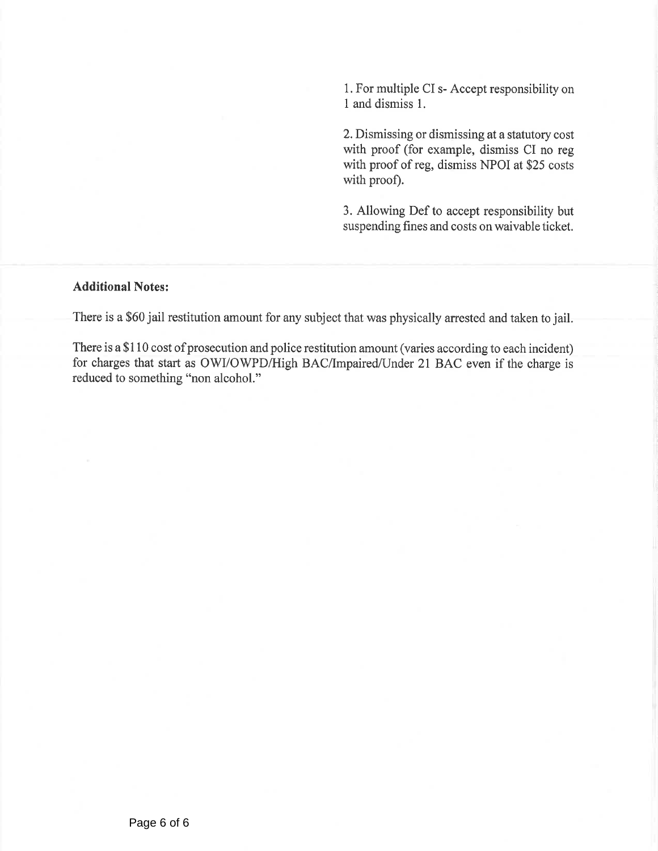1.For multiple CI s- Accept responsibilityon 1 and dismiss 1.

2. Dismissing or dismissing at a statutory cost with proof (for example, dismiss CI no reg with proof of reg, dismiss NPOI at \$25 costs with proof).

3. Allowing Def to accept responsibility but suspending fines and costs on waivable ticket.

#### Additional Notes:

There is a \$60 jail restitution amount for any subject that was physically arrested and taken to jail.

There is a \$110 cost of prosecution and police restitution amount (varies according to each incident) for charges that start as OWI/OWPD/High BAC/Impaired/Under 21 BAC even if the charge is reduced to something "non alcohol."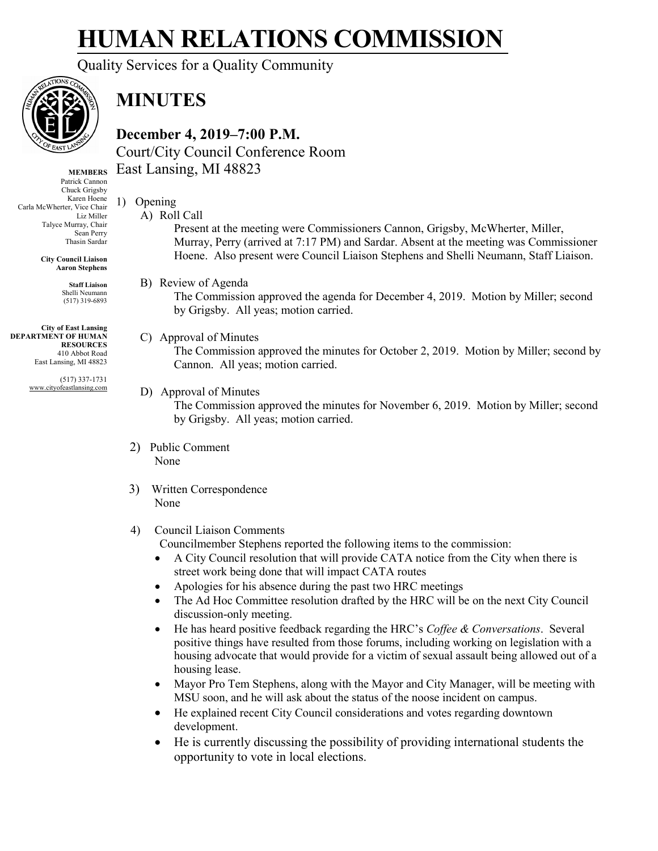# **HUMAN RELATIONS COMMISSION**

Quality Services for a Quality Community



### **MINUTES**

**December 4, 2019–7:00 P.M.** Court/City Council Conference Room East Lansing, MI 48823

**MEMBERS** Patrick Cannon Chuck Grigsby Karen Hoene Carla McWherter, Vice Chair Liz Miller Talyce Murray, Chair Sean Perry Thasin Sardar

> **City Council Liaison Aaron Stephens**

> > **Staff Liaison** Shelli Neumann (517) 319-6893

**City of East Lansing DEPARTMENT OF HUMAN RESOURCES** 410 Abbot Road East Lansing, MI 48823

> (517) 337-1731 www.cityofeastlansing.com

- 1) Opening A) Roll Call
	- Present at the meeting were Commissioners Cannon, Grigsby, McWherter, Miller, Murray, Perry (arrived at 7:17 PM) and Sardar. Absent at the meeting was Commissioner Hoene. Also present were Council Liaison Stephens and Shelli Neumann, Staff Liaison.
	- B) Review of Agenda
		- The Commission approved the agenda for December 4, 2019. Motion by Miller; second by Grigsby. All yeas; motion carried.

#### C) Approval of Minutes

The Commission approved the minutes for October 2, 2019. Motion by Miller; second by Cannon. All yeas; motion carried.

#### D) Approval of Minutes

The Commission approved the minutes for November 6, 2019. Motion by Miller; second by Grigsby. All yeas; motion carried.

- 2) Public Comment None
- 3) Written Correspondence None

#### 4) Council Liaison Comments

Councilmember Stephens reported the following items to the commission:

- A City Council resolution that will provide CATA notice from the City when there is street work being done that will impact CATA routes
- Apologies for his absence during the past two HRC meetings
- The Ad Hoc Committee resolution drafted by the HRC will be on the next City Council discussion-only meeting.
- He has heard positive feedback regarding the HRC's *Coffee & Conversations*. Several positive things have resulted from those forums, including working on legislation with a housing advocate that would provide for a victim of sexual assault being allowed out of a housing lease.
- Mayor Pro Tem Stephens, along with the Mayor and City Manager, will be meeting with MSU soon, and he will ask about the status of the noose incident on campus.
- He explained recent City Council considerations and votes regarding downtown development.
- He is currently discussing the possibility of providing international students the opportunity to vote in local elections.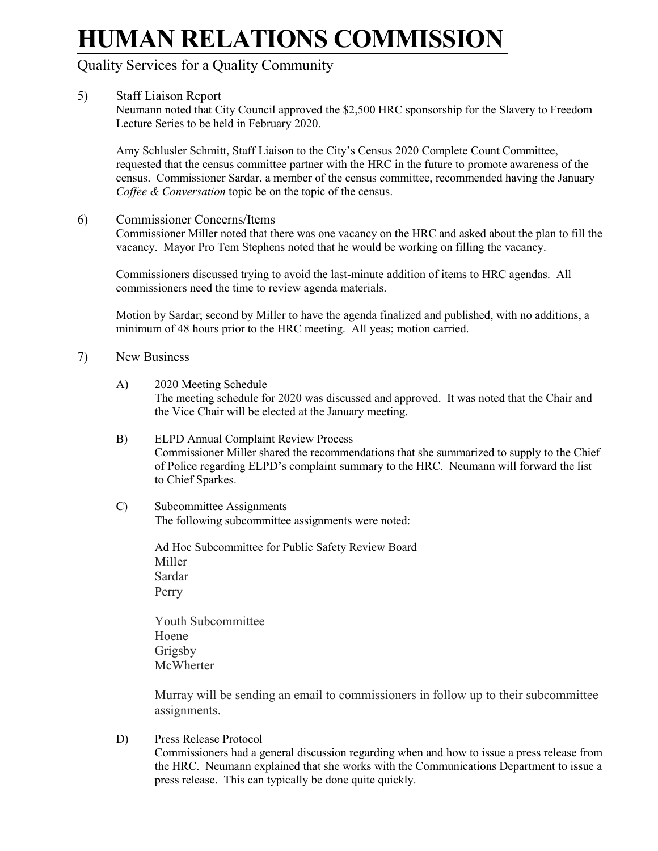# **HUMAN RELATIONS COMMISSION**

### Quality Services for a Quality Community

#### 5) Staff Liaison Report

Neumann noted that City Council approved the \$2,500 HRC sponsorship for the Slavery to Freedom Lecture Series to be held in February 2020.

Amy Schlusler Schmitt, Staff Liaison to the City's Census 2020 Complete Count Committee, requested that the census committee partner with the HRC in the future to promote awareness of the census. Commissioner Sardar, a member of the census committee, recommended having the January *Coffee & Conversation* topic be on the topic of the census.

6) Commissioner Concerns/Items

Commissioner Miller noted that there was one vacancy on the HRC and asked about the plan to fill the vacancy. Mayor Pro Tem Stephens noted that he would be working on filling the vacancy.

Commissioners discussed trying to avoid the last-minute addition of items to HRC agendas. All commissioners need the time to review agenda materials.

Motion by Sardar; second by Miller to have the agenda finalized and published, with no additions, a minimum of 48 hours prior to the HRC meeting. All yeas; motion carried.

- 7) New Business
	- A) 2020 Meeting Schedule The meeting schedule for 2020 was discussed and approved. It was noted that the Chair and the Vice Chair will be elected at the January meeting.
	- B) ELPD Annual Complaint Review Process Commissioner Miller shared the recommendations that she summarized to supply to the Chief of Police regarding ELPD's complaint summary to the HRC. Neumann will forward the list to Chief Sparkes.
	- C) Subcommittee Assignments The following subcommittee assignments were noted:

Ad Hoc Subcommittee for Public Safety Review Board Miller Sardar Perry

Youth Subcommittee Hoene Grigsby **McWherter** 

Murray will be sending an email to commissioners in follow up to their subcommittee assignments.

D) Press Release Protocol Commissioners had a general discussion regarding when and how to issue a press release from the HRC. Neumann explained that she works with the Communications Department to issue a press release. This can typically be done quite quickly.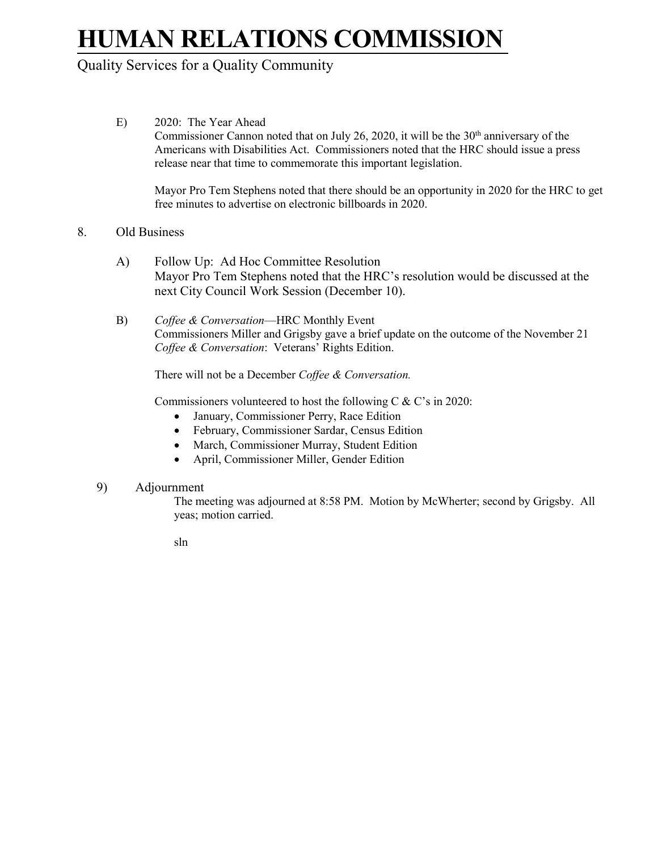# **HUMAN RELATIONS COMMISSION**

### Quality Services for a Quality Community

E) 2020: The Year Ahead Commissioner Cannon noted that on July 26, 2020, it will be the  $30<sup>th</sup>$  anniversary of the Americans with Disabilities Act. Commissioners noted that the HRC should issue a press release near that time to commemorate this important legislation.

Mayor Pro Tem Stephens noted that there should be an opportunity in 2020 for the HRC to get free minutes to advertise on electronic billboards in 2020.

#### 8. Old Business

- A) Follow Up: Ad Hoc Committee Resolution Mayor Pro Tem Stephens noted that the HRC's resolution would be discussed at the next City Council Work Session (December 10).
- B) *Coffee & Conversation*—HRC Monthly Event Commissioners Miller and Grigsby gave a brief update on the outcome of the November 21 *Coffee & Conversation*: Veterans' Rights Edition.

There will not be a December *Coffee & Conversation.*

Commissioners volunteered to host the following C & C's in 2020:

- January, Commissioner Perry, Race Edition
- February, Commissioner Sardar, Census Edition
- March, Commissioner Murray, Student Edition
- April, Commissioner Miller, Gender Edition

#### 9) Adjournment

The meeting was adjourned at 8:58 PM. Motion by McWherter; second by Grigsby. All yeas; motion carried.

sln